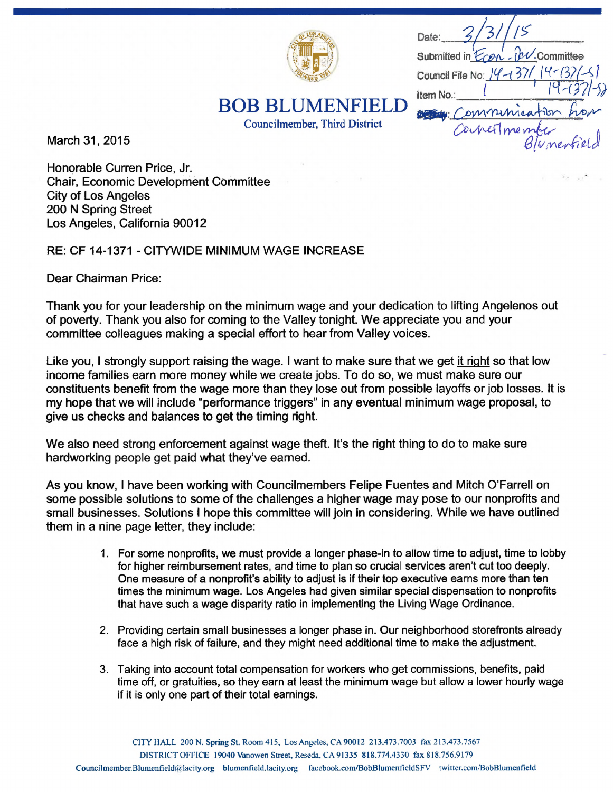

Date: ibv.Committee Submitted in  $$ Council File No:  $14 - 37/14 - 3$ Item No. De Comminca Correstment

**BOB BLUMENFIEL** 

Councilmember, Third District

March 31, 2015

Honorable Curren Price, Jr. **Chair. Economic Development Committee City of Los Angeles** 200 N Spring Street Los Angeles, California 90012

RE: CF 14-1371 - CITYWIDE MINIMUM WAGE INCREASE

Dear Chairman Price:

Thank you for your leadership on the minimum wage and your dedication to lifting Angelenos out of poverty. Thank you also for coming to the Valley tonight. We appreciate you and your committee colleagues making a special effort to hear from Valley voices.

Like you, I strongly support raising the wage. I want to make sure that we get it right so that low income families earn more money while we create jobs. To do so, we must make sure our constituents benefit from the wage more than they lose out from possible layoffs or job losses. It is my hope that we will include "performance triggers" in any eventual minimum wage proposal, to give us checks and balances to get the timing right.

We also need strong enforcement against wage theft. It's the right thing to do to make sure hardworking people get paid what they've earned.

As you know, <sup>I</sup> have been working with Councilmembers Felipe Fuentes and Mitch O'Farrell on some possible solutions to some of the challenges a higher wage may pose to our nonprofits and small businesses. Solutions <sup>I</sup> hope this committee will join in considering. While we have outlined them in a nine page letter, they include:

- 1. For some nonprofits, we must provide a longer phase-in to allow time to adjust, time to lobby for higher reimbursement rates, and time to plan so crucial services aren't cut too deeply. One measure of a nonprofit's ability to adjust is if their top executive earns more than ten times the minimum wage. Los Angeles had given similar special dispensation to nonprofits that have such a wage disparity ratio in implementing the Living Wage Ordinance.
- 2. Providing certain small businesses a longer phase in. Our neighborhood storefronts already face a high risk of failure, and they might need additional time to make the adjustment.
- 3. Taking into account total compensation for workers who get commissions, benefits, paid time off, or gratuities, so they earn at least the minimum wage but allow a lower hourly wage if it is only one part of their total earnings.